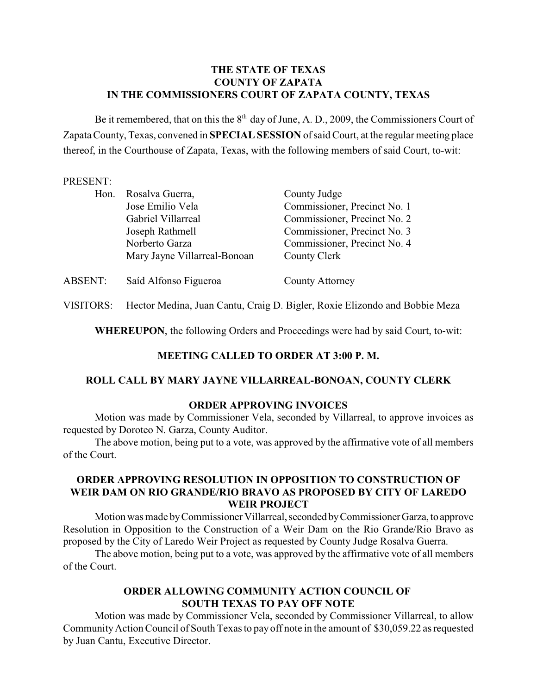## **THE STATE OF TEXAS COUNTY OF ZAPATA IN THE COMMISSIONERS COURT OF ZAPATA COUNTY, TEXAS**

Be it remembered, that on this the  $8<sup>th</sup>$  day of June, A. D., 2009, the Commissioners Court of Zapata County, Texas, convened in **SPECIAL SESSION** of said Court, at the regular meeting place thereof, in the Courthouse of Zapata, Texas, with the following members of said Court, to-wit:

### PRESENT:

| Hon.           | Rosalva Guerra,<br>Jose Emilio Vela<br>Gabriel Villarreal<br>Joseph Rathmell<br>Norberto Garza<br>Mary Jayne Villarreal-Bonoan | County Judge<br>Commissioner, Precinct No. 1<br>Commissioner, Precinct No. 2<br>Commissioner, Precinct No. 3<br>Commissioner, Precinct No. 4<br>County Clerk |
|----------------|--------------------------------------------------------------------------------------------------------------------------------|--------------------------------------------------------------------------------------------------------------------------------------------------------------|
|                |                                                                                                                                |                                                                                                                                                              |
| <b>ABSENT:</b> | Saíd Alfonso Figueroa                                                                                                          | County Attorney                                                                                                                                              |

VISITORS: Hector Medina, Juan Cantu, Craig D. Bigler, Roxie Elizondo and Bobbie Meza

**WHEREUPON**, the following Orders and Proceedings were had by said Court, to-wit:

## **MEETING CALLED TO ORDER AT 3:00 P. M.**

## **ROLL CALL BY MARY JAYNE VILLARREAL-BONOAN, COUNTY CLERK**

#### **ORDER APPROVING INVOICES**

Motion was made by Commissioner Vela, seconded by Villarreal, to approve invoices as requested by Doroteo N. Garza, County Auditor.

The above motion, being put to a vote, was approved by the affirmative vote of all members of the Court.

## **ORDER APPROVING RESOLUTION IN OPPOSITION TO CONSTRUCTION OF WEIR DAM ON RIO GRANDE/RIO BRAVO AS PROPOSED BY CITY OF LAREDO WEIR PROJECT**

Motion was made by Commissioner Villarreal, seconded by Commissioner Garza, to approve Resolution in Opposition to the Construction of a Weir Dam on the Rio Grande/Rio Bravo as proposed by the City of Laredo Weir Project as requested by County Judge Rosalva Guerra.

The above motion, being put to a vote, was approved by the affirmative vote of all members of the Court.

# **ORDER ALLOWING COMMUNITY ACTION COUNCIL OF SOUTH TEXAS TO PAY OFF NOTE**

Motion was made by Commissioner Vela, seconded by Commissioner Villarreal, to allow Community Action Council of South Texas to pay off note in the amount of \$30,059.22 as requested by Juan Cantu, Executive Director.